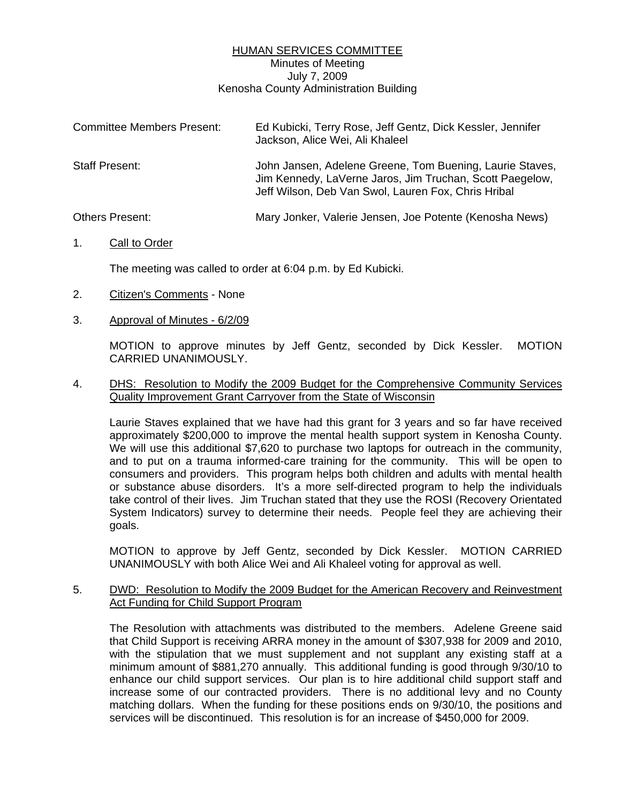## HUMAN SERVICES COMMITTEE Minutes of Meeting July 7, 2009 Kenosha County Administration Building

| <b>Committee Members Present:</b> | Ed Kubicki, Terry Rose, Jeff Gentz, Dick Kessler, Jennifer<br>Jackson, Alice Wei, Ali Khaleel                                                                               |
|-----------------------------------|-----------------------------------------------------------------------------------------------------------------------------------------------------------------------------|
| <b>Staff Present:</b>             | John Jansen, Adelene Greene, Tom Buening, Laurie Staves,<br>Jim Kennedy, LaVerne Jaros, Jim Truchan, Scott Paegelow,<br>Jeff Wilson, Deb Van Swol, Lauren Fox, Chris Hribal |
| <b>Others Present:</b>            | Mary Jonker, Valerie Jensen, Joe Potente (Kenosha News)                                                                                                                     |

### 1. Call to Order

The meeting was called to order at 6:04 p.m. by Ed Kubicki.

- 2. Citizen's Comments None
- 3. Approval of Minutes 6/2/09

 MOTION to approve minutes by Jeff Gentz, seconded by Dick Kessler. MOTION CARRIED UNANIMOUSLY.

### 4. DHS: Resolution to Modify the 2009 Budget for the Comprehensive Community Services Quality Improvement Grant Carryover from the State of Wisconsin

 Laurie Staves explained that we have had this grant for 3 years and so far have received approximately \$200,000 to improve the mental health support system in Kenosha County. We will use this additional \$7,620 to purchase two laptops for outreach in the community, and to put on a trauma informed-care training for the community. This will be open to consumers and providers. This program helps both children and adults with mental health or substance abuse disorders. It's a more self-directed program to help the individuals take control of their lives. Jim Truchan stated that they use the ROSI (Recovery Orientated System Indicators) survey to determine their needs. People feel they are achieving their goals.

 MOTION to approve by Jeff Gentz, seconded by Dick Kessler. MOTION CARRIED UNANIMOUSLY with both Alice Wei and Ali Khaleel voting for approval as well.

## 5. DWD: Resolution to Modify the 2009 Budget for the American Recovery and Reinvestment Act Funding for Child Support Program

 The Resolution with attachments was distributed to the members. Adelene Greene said that Child Support is receiving ARRA money in the amount of \$307,938 for 2009 and 2010, with the stipulation that we must supplement and not supplant any existing staff at a minimum amount of \$881,270 annually. This additional funding is good through 9/30/10 to enhance our child support services. Our plan is to hire additional child support staff and increase some of our contracted providers. There is no additional levy and no County matching dollars. When the funding for these positions ends on 9/30/10, the positions and services will be discontinued. This resolution is for an increase of \$450,000 for 2009.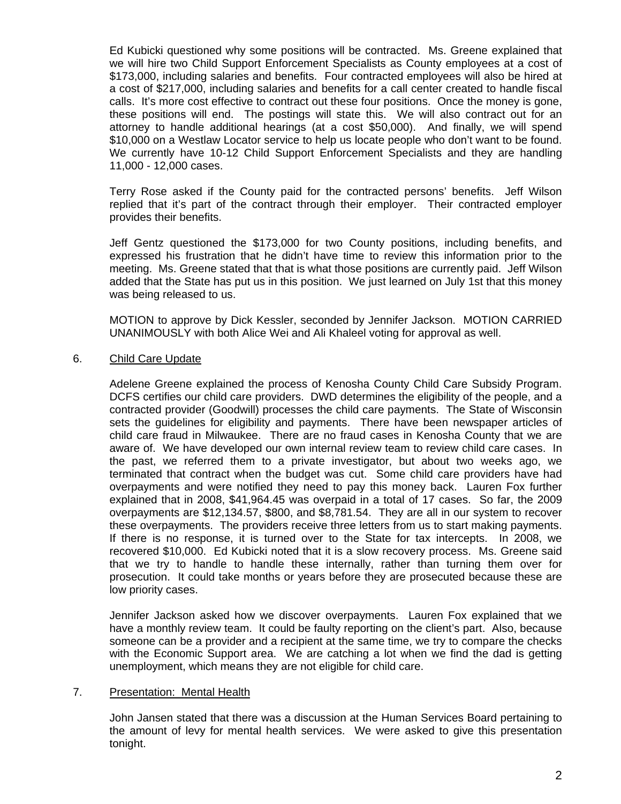Ed Kubicki questioned why some positions will be contracted. Ms. Greene explained that we will hire two Child Support Enforcement Specialists as County employees at a cost of \$173,000, including salaries and benefits. Four contracted employees will also be hired at a cost of \$217,000, including salaries and benefits for a call center created to handle fiscal calls. It's more cost effective to contract out these four positions. Once the money is gone, these positions will end. The postings will state this. We will also contract out for an attorney to handle additional hearings (at a cost \$50,000). And finally, we will spend \$10,000 on a Westlaw Locator service to help us locate people who don't want to be found. We currently have 10-12 Child Support Enforcement Specialists and they are handling 11,000 - 12,000 cases.

 Terry Rose asked if the County paid for the contracted persons' benefits. Jeff Wilson replied that it's part of the contract through their employer. Their contracted employer provides their benefits.

 Jeff Gentz questioned the \$173,000 for two County positions, including benefits, and expressed his frustration that he didn't have time to review this information prior to the meeting. Ms. Greene stated that that is what those positions are currently paid. Jeff Wilson added that the State has put us in this position. We just learned on July 1st that this money was being released to us.

 MOTION to approve by Dick Kessler, seconded by Jennifer Jackson. MOTION CARRIED UNANIMOUSLY with both Alice Wei and Ali Khaleel voting for approval as well.

# 6. Child Care Update

 Adelene Greene explained the process of Kenosha County Child Care Subsidy Program. DCFS certifies our child care providers. DWD determines the eligibility of the people, and a contracted provider (Goodwill) processes the child care payments. The State of Wisconsin sets the guidelines for eligibility and payments. There have been newspaper articles of child care fraud in Milwaukee. There are no fraud cases in Kenosha County that we are aware of. We have developed our own internal review team to review child care cases. In the past, we referred them to a private investigator, but about two weeks ago, we terminated that contract when the budget was cut. Some child care providers have had overpayments and were notified they need to pay this money back. Lauren Fox further explained that in 2008, \$41,964.45 was overpaid in a total of 17 cases. So far, the 2009 overpayments are \$12,134.57, \$800, and \$8,781.54. They are all in our system to recover these overpayments. The providers receive three letters from us to start making payments. If there is no response, it is turned over to the State for tax intercepts. In 2008, we recovered \$10,000. Ed Kubicki noted that it is a slow recovery process. Ms. Greene said that we try to handle to handle these internally, rather than turning them over for prosecution. It could take months or years before they are prosecuted because these are low priority cases.

 Jennifer Jackson asked how we discover overpayments. Lauren Fox explained that we have a monthly review team. It could be faulty reporting on the client's part. Also, because someone can be a provider and a recipient at the same time, we try to compare the checks with the Economic Support area. We are catching a lot when we find the dad is getting unemployment, which means they are not eligible for child care.

### 7. Presentation: Mental Health

 John Jansen stated that there was a discussion at the Human Services Board pertaining to the amount of levy for mental health services. We were asked to give this presentation tonight.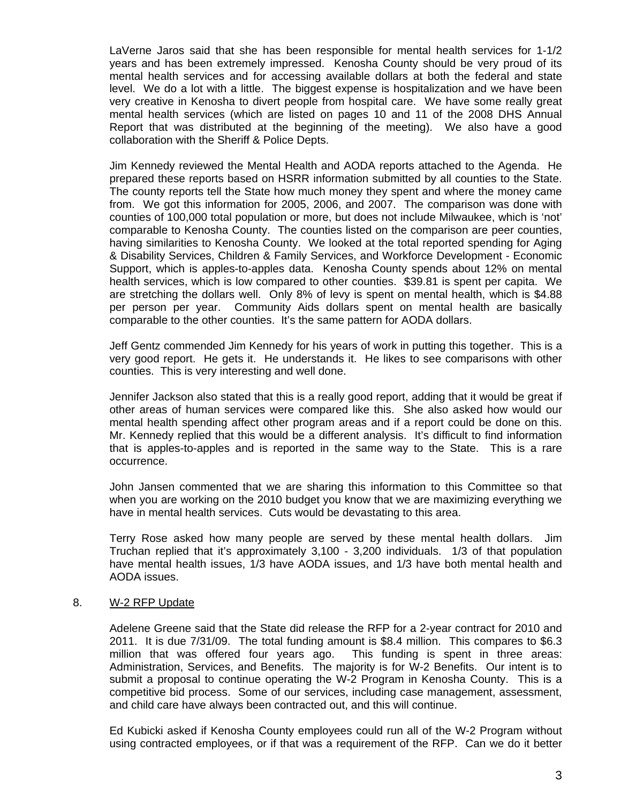LaVerne Jaros said that she has been responsible for mental health services for 1-1/2 years and has been extremely impressed. Kenosha County should be very proud of its mental health services and for accessing available dollars at both the federal and state level. We do a lot with a little. The biggest expense is hospitalization and we have been very creative in Kenosha to divert people from hospital care. We have some really great mental health services (which are listed on pages 10 and 11 of the 2008 DHS Annual Report that was distributed at the beginning of the meeting). We also have a good collaboration with the Sheriff & Police Depts.

 Jim Kennedy reviewed the Mental Health and AODA reports attached to the Agenda. He prepared these reports based on HSRR information submitted by all counties to the State. The county reports tell the State how much money they spent and where the money came from. We got this information for 2005, 2006, and 2007. The comparison was done with counties of 100,000 total population or more, but does not include Milwaukee, which is 'not' comparable to Kenosha County. The counties listed on the comparison are peer counties, having similarities to Kenosha County. We looked at the total reported spending for Aging & Disability Services, Children & Family Services, and Workforce Development - Economic Support, which is apples-to-apples data. Kenosha County spends about 12% on mental health services, which is low compared to other counties. \$39.81 is spent per capita. We are stretching the dollars well. Only 8% of levy is spent on mental health, which is \$4.88 per person per year. Community Aids dollars spent on mental health are basically comparable to the other counties. It's the same pattern for AODA dollars.

 Jeff Gentz commended Jim Kennedy for his years of work in putting this together. This is a very good report. He gets it. He understands it. He likes to see comparisons with other counties. This is very interesting and well done.

 Jennifer Jackson also stated that this is a really good report, adding that it would be great if other areas of human services were compared like this. She also asked how would our mental health spending affect other program areas and if a report could be done on this. Mr. Kennedy replied that this would be a different analysis. It's difficult to find information that is apples-to-apples and is reported in the same way to the State. This is a rare occurrence.

 John Jansen commented that we are sharing this information to this Committee so that when you are working on the 2010 budget you know that we are maximizing everything we have in mental health services. Cuts would be devastating to this area.

 Terry Rose asked how many people are served by these mental health dollars. Jim Truchan replied that it's approximately 3,100 - 3,200 individuals. 1/3 of that population have mental health issues, 1/3 have AODA issues, and 1/3 have both mental health and AODA issues.

### 8. W-2 RFP Update

 Adelene Greene said that the State did release the RFP for a 2-year contract for 2010 and 2011. It is due 7/31/09. The total funding amount is \$8.4 million. This compares to \$6.3 million that was offered four years ago. This funding is spent in three areas: Administration, Services, and Benefits. The majority is for W-2 Benefits. Our intent is to submit a proposal to continue operating the W-2 Program in Kenosha County. This is a competitive bid process. Some of our services, including case management, assessment, and child care have always been contracted out, and this will continue.

 Ed Kubicki asked if Kenosha County employees could run all of the W-2 Program without using contracted employees, or if that was a requirement of the RFP. Can we do it better